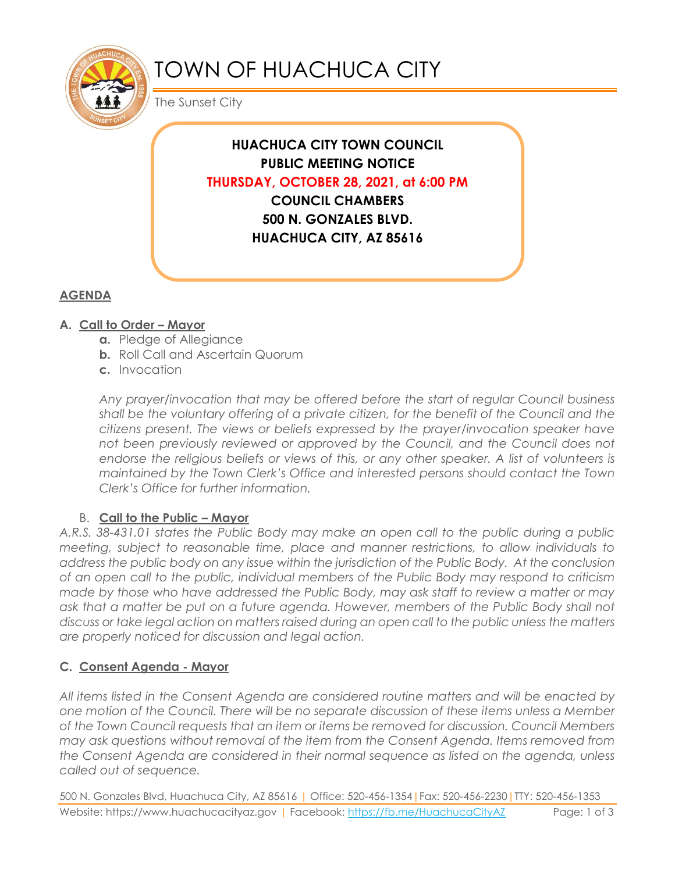

# TOWN OF HUACHUCA CITY

The Sunset City

**HUACHUCA CITY TOWN COUNCIL PUBLIC MEETING NOTICE THURSDAY, OCTOBER 28, 2021, at 6:00 PM COUNCIL CHAMBERS 500 N. GONZALES BLVD. HUACHUCA CITY, AZ 85616**

## **AGENDA**

## **A. Call to Order – Mayor**

- **a.** Pledge of Allegiance
- **b.** Roll Call and Ascertain Quorum
- **c.** Invocation

*Any prayer/invocation that may be offered before the start of regular Council business shall be the voluntary offering of a private citizen, for the benefit of the Council and the citizens present. The views or beliefs expressed by the prayer/invocation speaker have*  not been previously reviewed or approved by the Council, and the Council does not endorse the religious beliefs or views of this, or any other speaker. A list of volunteers is *maintained by the Town Clerk's Office and interested persons should contact the Town Clerk's Office for further information.*

#### B. **Call to the Public – Mayor**

*A.R.S. 38-431.01 states the Public Body may make an open call to the public during a public meeting, subject to reasonable time, place and manner restrictions, to allow individuals to address the public body on any issue within the jurisdiction of the Public Body. At the conclusion of an open call to the public, individual members of the Public Body may respond to criticism made by those who have addressed the Public Body, may ask staff to review a matter or may ask that a matter be put on a future agenda. However, members of the Public Body shall not discuss or take legal action on matters raised during an open call to the public unless the matters are properly noticed for discussion and legal action.*

## **C. Consent Agenda - Mayor**

*All items listed in the Consent Agenda are considered routine matters and will be enacted by one motion of the Council. There will be no separate discussion of these items unless a Member of the Town Council requests that an item or items be removed for discussion. Council Members may ask questions without removal of the item from the Consent Agenda. Items removed from the Consent Agenda are considered in their normal sequence as listed on the agenda, unless called out of sequence.*

500 N. Gonzales Blvd, Huachuca City, AZ 85616 | Office: 520-456-1354|Fax: 520-456-2230|TTY: 520-456-1353 Website: https://www.huachucacityaz.gov | Facebook:<https://fb.me/HuachucaCityAZ> Page: 1 of 3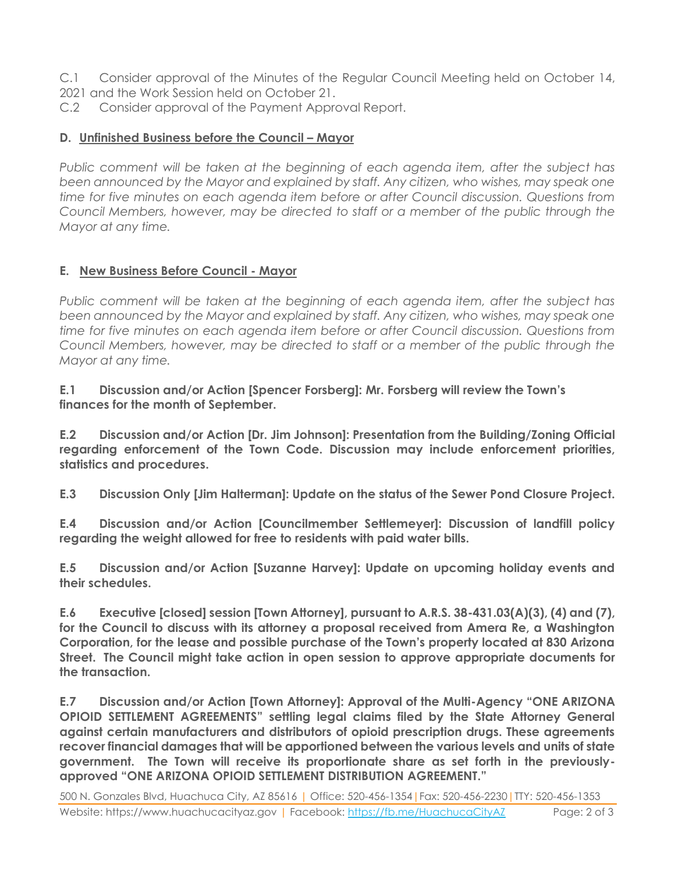- C.1 Consider approval of the Minutes of the Regular Council Meeting held on October 14,
- 2021 and the Work Session held on October 21.
- C.2 Consider approval of the Payment Approval Report.

#### **D. Unfinished Business before the Council – Mayor**

*Public comment will be taken at the beginning of each agenda item, after the subject has been announced by the Mayor and explained by staff. Any citizen, who wishes, may speak one time for five minutes on each agenda item before or after Council discussion. Questions from Council Members, however, may be directed to staff or a member of the public through the Mayor at any time.*

## **E. New Business Before Council - Mayor**

*Public comment will be taken at the beginning of each agenda item, after the subject has been announced by the Mayor and explained by staff. Any citizen, who wishes, may speak one time for five minutes on each agenda item before or after Council discussion. Questions from Council Members, however, may be directed to staff or a member of the public through the Mayor at any time.* 

#### **E.1 Discussion and/or Action [Spencer Forsberg]: Mr. Forsberg will review the Town's finances for the month of September.**

**E.2 Discussion and/or Action [Dr. Jim Johnson]: Presentation from the Building/Zoning Official regarding enforcement of the Town Code. Discussion may include enforcement priorities, statistics and procedures.**

**E.3 Discussion Only [Jim Halterman]: Update on the status of the Sewer Pond Closure Project.**

**E.4 Discussion and/or Action [Councilmember Settlemeyer]: Discussion of landfill policy regarding the weight allowed for free to residents with paid water bills.** 

**E.5 Discussion and/or Action [Suzanne Harvey]: Update on upcoming holiday events and their schedules.**

**E.6 Executive [closed] session [Town Attorney], pursuant to A.R.S. 38-431.03(A)(3), (4) and (7), for the Council to discuss with its attorney a proposal received from Amera Re, a Washington Corporation, for the lease and possible purchase of the Town's property located at 830 Arizona Street. The Council might take action in open session to approve appropriate documents for the transaction.**

**E.7 Discussion and/or Action [Town Attorney]: Approval of the Multi-Agency "ONE ARIZONA OPIOID SETTLEMENT AGREEMENTS" settling legal claims filed by the State Attorney General against certain manufacturers and distributors of opioid prescription drugs. These agreements recover financial damages that will be apportioned between the various levels and units of state government. The Town will receive its proportionate share as set forth in the previouslyapproved "ONE ARIZONA OPIOID SETTLEMENT DISTRIBUTION AGREEMENT."**